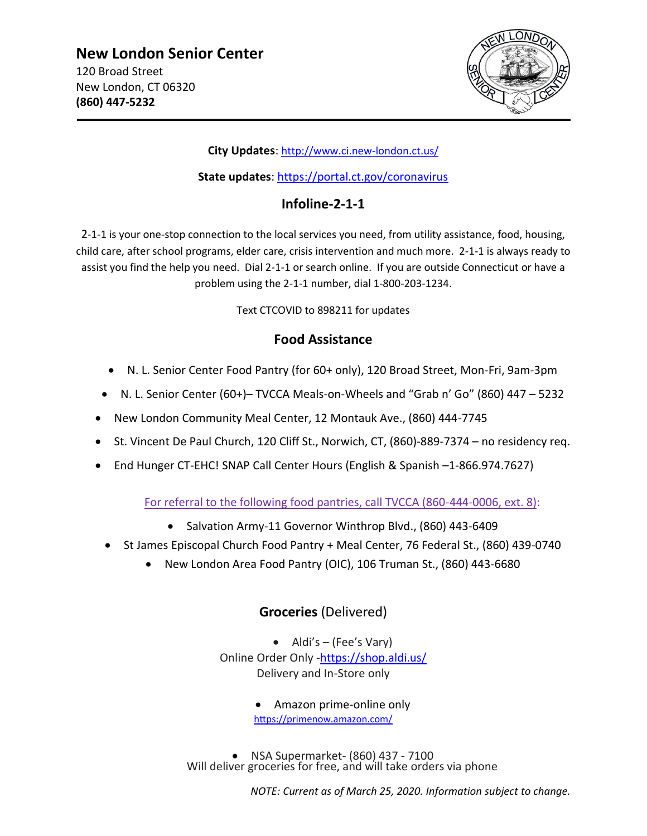

### **City Updates**: <http://www.ci.new-london.ct.us/>

### **State updates**:<https://portal.ct.gov/coronavirus>

### **Infoline-2-1-1**

2-1-1 is your one-stop connection to the local services you need, from utility assistance, food, housing, child care, after school programs, elder care, crisis intervention and much more. 2-1-1 is always ready to assist you find the help you need. Dial 2-1-1 or search online. If you are outside Connecticut or have a problem using the 2-1-1 number, dial 1-800-203-1234.

### Text CTCOVID to 898211 for updates

## **Food Assistance**

- N. L. Senior Center Food Pantry (for 60+ only), 120 Broad Street, Mon-Fri, 9am-3pm
- N. L. Senior Center (60+)– TVCCA Meals-on-Wheels and "Grab n' Go" (860) 447 5232
- New London Community Meal Center, 12 Montauk Ave., (860) 444-7745
- St. Vincent De Paul Church, 120 Cliff St., Norwich, CT, (860)-889-7374 no residency req.
- End Hunger CT-EHC! SNAP Call Center Hours (English & Spanish -1-866.974.7627)

For referral to the following food pantries, call TVCCA (860-444-0006, ext. 8):

- Salvation Army-11 Governor Winthrop Blvd., (860) 443-6409
- St James Episcopal Church Food Pantry + Meal Center, 76 Federal St., (860) 439-0740
	- New London Area Food Pantry (OIC), 106 Truman St., (860) 443-6680

# **Groceries** (Delivered)

• Aldi's  $-$  (Fee's Vary) Online Order Only [-https://shop.aldi.us/](https://shop.aldi.us/) Delivery and In-Store only

> • Amazon prime-online only <https://primenow.amazon.com/>

• NSA Supermarket- (860) 437 - 7100 Will deliver groceries for free, and will take orders via phone

*NOTE: Current as of March 25, 2020. Information subject to change.*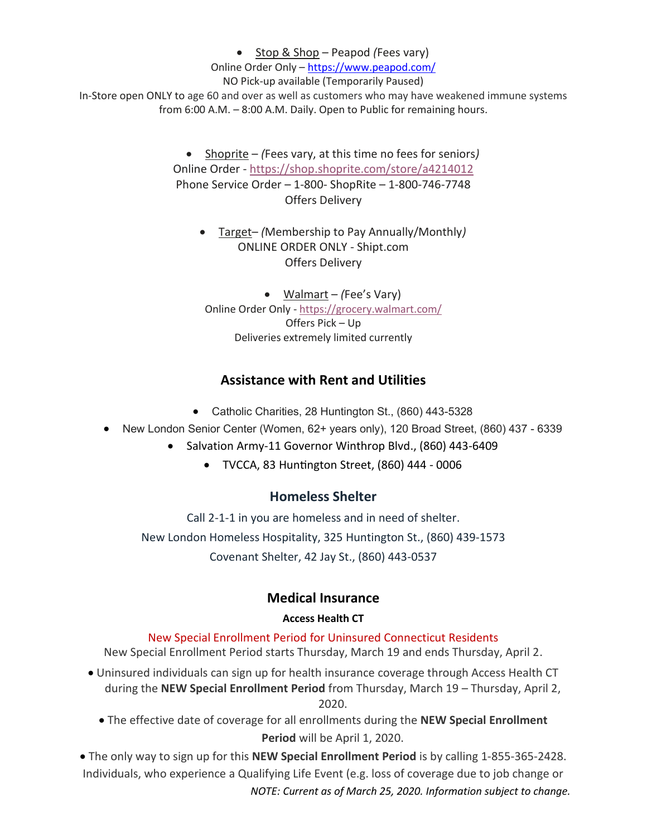• Stop & Shop – Peapod *(*Fees vary) Online Order Only – <https://www.peapod.com/> NO Pick-up available (Temporarily Paused) In-Store open ONLY to age 60 and over as well as customers who may have weakened immune systems from 6:00 A.M. – 8:00 A.M. Daily. Open to Public for remaining hours.

> • Shoprite – *(*Fees vary, at this time no fees for seniors*)* Online Order - <https://shop.shoprite.com/store/a4214012> Phone Service Order – 1-800- ShopRite – 1-800-746-7748 Offers Delivery

• Target– *(*Membership to Pay Annually/Monthly*)* ONLINE ORDER ONLY - Shipt.com Offers Delivery

• Walmart – *(*Fee's Vary) Online Order Only - <https://grocery.walmart.com/> Offers Pick – Up Deliveries extremely limited currently

## **Assistance with Rent and Utilities**

- Catholic Charities, 28 Huntington St., (860) 443-5328
- New London Senior Center (Women, 62+ years only), 120 Broad Street, (860) 437 6339
	- Salvation Army-11 Governor Winthrop Blvd., (860) 443-6409
		- TVCCA, 83 Huntington Street, (860) 444 0006

### **Homeless Shelter**

Call 2-1-1 in you are homeless and in need of shelter. New London Homeless Hospitality, 325 Huntington St., (860) 439-1573 Covenant Shelter, 42 Jay St., (860) 443-0537

# **Medical Insurance**

### **Access Health CT**

### New Special Enrollment Period for Uninsured Connecticut Residents

New Special Enrollment Period starts Thursday, March 19 and ends Thursday, April 2.

- Uninsured individuals can sign up for health insurance coverage through Access Health CT during the **NEW Special Enrollment Period** from Thursday, March 19 – Thursday, April 2, 2020.
	- The effective date of coverage for all enrollments during the **NEW Special Enrollment**  Period will be April 1, 2020.

*NOTE: Current as of March 25, 2020. Information subject to change.*  • The only way to sign up for this **NEW Special Enrollment Period** is by calling 1-855-365-2428. Individuals, who experience a Qualifying Life Event (e.g. loss of coverage due to job change or